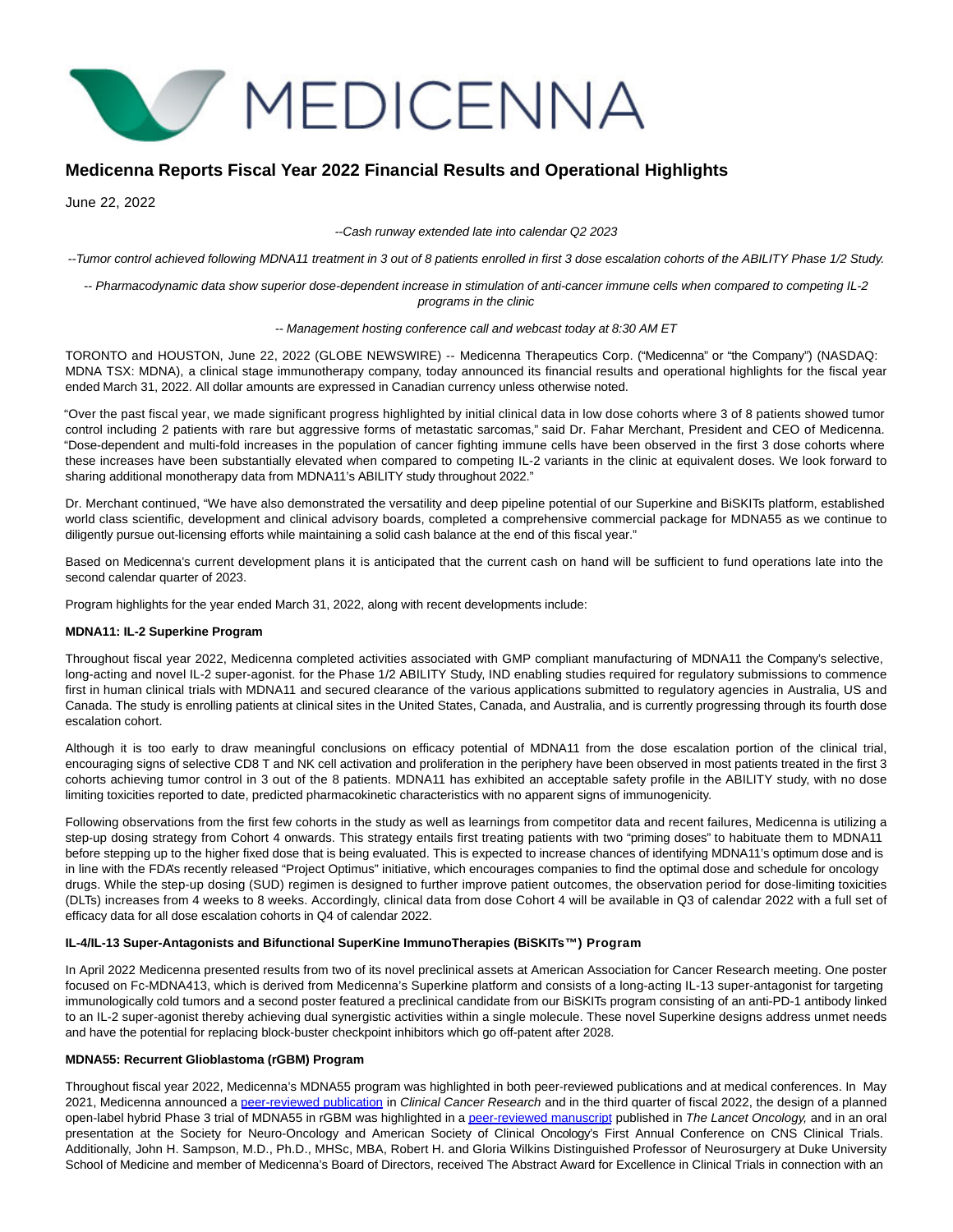# MEDICENNA

# **Medicenna Reports Fiscal Year 2022 Financial Results and Operational Highlights**

June 22, 2022

--Cash runway extended late into calendar Q2 2023

--Tumor control achieved following MDNA11 treatment in 3 out of 8 patients enrolled in first 3 dose escalation cohorts of the ABILITY Phase 1/2 Study.

-- Pharmacodynamic data show superior dose-dependent increase in stimulation of anti-cancer immune cells when compared to competing IL-2 programs in the clinic

#### -- Management hosting conference call and webcast today at 8:30 AM ET

TORONTO and HOUSTON, June 22, 2022 (GLOBE NEWSWIRE) -- Medicenna Therapeutics Corp. ("Medicenna" or "the Company") (NASDAQ: MDNA TSX: MDNA), a clinical stage immunotherapy company, today announced its financial results and operational highlights for the fiscal year ended March 31, 2022. All dollar amounts are expressed in Canadian currency unless otherwise noted.

"Over the past fiscal year, we made significant progress highlighted by initial clinical data in low dose cohorts where 3 of 8 patients showed tumor control including 2 patients with rare but aggressive forms of metastatic sarcomas," said Dr. Fahar Merchant, President and CEO of Medicenna. "Dose-dependent and multi-fold increases in the population of cancer fighting immune cells have been observed in the first 3 dose cohorts where these increases have been substantially elevated when compared to competing IL-2 variants in the clinic at equivalent doses. We look forward to sharing additional monotherapy data from MDNA11's ABILITY study throughout 2022."

Dr. Merchant continued, "We have also demonstrated the versatility and deep pipeline potential of our Superkine and BiSKITs platform, established world class scientific, development and clinical advisory boards, completed a comprehensive commercial package for MDNA55 as we continue to diligently pursue out-licensing efforts while maintaining a solid cash balance at the end of this fiscal year."

Based on Medicenna's current development plans it is anticipated that the current cash on hand will be sufficient to fund operations late into the second calendar quarter of 2023.

Program highlights for the year ended March 31, 2022, along with recent developments include:

#### **MDNA11: IL-2 Superkine Program**

Throughout fiscal year 2022, Medicenna completed activities associated with GMP compliant manufacturing of MDNA11 the Company's selective, long-acting and novel IL-2 super-agonist. for the Phase 1/2 ABILITY Study, IND enabling studies required for regulatory submissions to commence first in human clinical trials with MDNA11 and secured clearance of the various applications submitted to regulatory agencies in Australia, US and Canada. The study is enrolling patients at clinical sites in the United States, Canada, and Australia, and is currently progressing through its fourth dose escalation cohort.

Although it is too early to draw meaningful conclusions on efficacy potential of MDNA11 from the dose escalation portion of the clinical trial, encouraging signs of selective CD8 T and NK cell activation and proliferation in the periphery have been observed in most patients treated in the first 3 cohorts achieving tumor control in 3 out of the 8 patients. MDNA11 has exhibited an acceptable safety profile in the ABILITY study, with no dose limiting toxicities reported to date, predicted pharmacokinetic characteristics with no apparent signs of immunogenicity.

Following observations from the first few cohorts in the study as well as learnings from competitor data and recent failures, Medicenna is utilizing a step-up dosing strategy from Cohort 4 onwards. This strategy entails first treating patients with two "priming doses" to habituate them to MDNA11 before stepping up to the higher fixed dose that is being evaluated. This is expected to increase chances of identifying MDNA11's optimum dose and is in line with the FDA's recently released "Project Optimus" initiative, which encourages companies to find the optimal dose and schedule for oncology drugs. While the step-up dosing (SUD) regimen is designed to further improve patient outcomes, the observation period for dose-limiting toxicities (DLTs) increases from 4 weeks to 8 weeks. Accordingly, clinical data from dose Cohort 4 will be available in Q3 of calendar 2022 with a full set of efficacy data for all dose escalation cohorts in Q4 of calendar 2022.

#### **IL-4/IL-13 Super-Antagonists and Bifunctional SuperKine ImmunoTherapies (BiSKITs™) Program**

In April 2022 Medicenna presented results from two of its novel preclinical assets at American Association for Cancer Research meeting. One poster focused on Fc-MDNA413, which is derived from Medicenna's Superkine platform and consists of a long-acting IL-13 super-antagonist for targeting immunologically cold tumors and a second poster featured a preclinical candidate from our BiSKITs program consisting of an anti-PD-1 antibody linked to an IL-2 super-agonist thereby achieving dual synergistic activities within a single molecule. These novel Superkine designs address unmet needs and have the potential for replacing block-buster checkpoint inhibitors which go off-patent after 2028.

## **MDNA55: Recurrent Glioblastoma (rGBM) Program**

Throughout fiscal year 2022, Medicenna's MDNA55 program was highlighted in both peer-reviewed publications and at medical conferences. In May 2021, Medicenna announced a [peer-reviewed publication i](https://www.globenewswire.com/Tracker?data=OIS5FdIomUCd-_qjwPxAiczCLrAHW26FUvyzyvi6Uy4os5RW9MWChpm5Q25Xf0Fta5xvJHeTchN3We203EE0GIxusRkqsMiuZgp2mwWhfhGtaJdgD1kUw47cdkZkNNsnULqdTpVKy4WTfy97DQz1lPqhvFO50I9S4qNU3sHcHJmcylHbH9CbzIEi15olPSC2U8tyFRlc_AKdD8DgJy6Q5c_hVL_Ssi97dsW2i0MRXZDre4pid181YR2zAPwe3assA22zoh5egE6pMyGMxy8xZQ==)n Clinical Cancer Research and in the third quarter of fiscal 2022, the design of a planned open-label hybrid Phase 3 trial of MDNA55 in rGBM was highlighted in [a peer-reviewed manuscript p](https://www.globenewswire.com/Tracker?data=OIS5FdIomUCd-_qjwPxAiZU5hmNapi7qhilwbynnIqF9zitCMVPViWjHq5iWFDETva0GCAX2hZIeUHpN3Dc9TR39LJaVGQZFzUrr18NjJXLD5AB-An0A053awEqkXIGxN2_3ltKEL84vwaR4TCHaTJrgUFBBMe_mgQmDB_DPAFpBOlBG5f_WcfLv-8y5Wcaa)ublished in The Lancet Oncology, and in an oral presentation at the Society for Neuro-Oncology and American Society of Clinical Oncology's First Annual Conference on CNS Clinical Trials. Additionally, John H. Sampson, M.D., Ph.D., MHSc, MBA, Robert H. and Gloria Wilkins Distinguished Professor of Neurosurgery at Duke University School of Medicine and member of Medicenna's Board of Directors, received The Abstract Award for Excellence in Clinical Trials in connection with an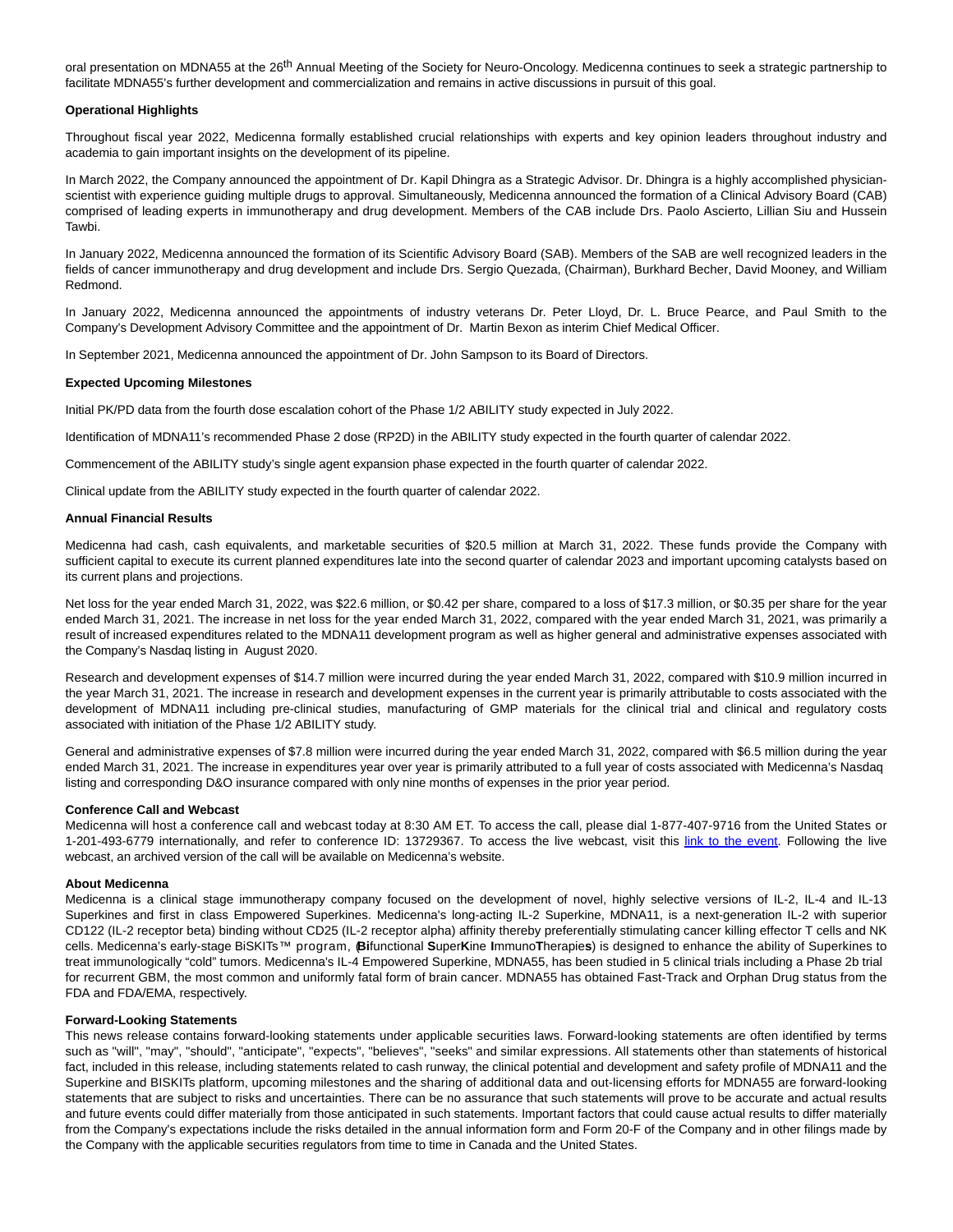oral presentation on MDNA55 at the 26<sup>th</sup> Annual Meeting of the Society for Neuro-Oncology. Medicenna continues to seek a strategic partnership to facilitate MDNA55's further development and commercialization and remains in active discussions in pursuit of this goal.

#### **Operational Highlights**

Throughout fiscal year 2022, Medicenna formally established crucial relationships with experts and key opinion leaders throughout industry and academia to gain important insights on the development of its pipeline.

In March 2022, the Company announced the appointment of Dr. Kapil Dhingra as a Strategic Advisor. Dr. Dhingra is a highly accomplished physicianscientist with experience guiding multiple drugs to approval. Simultaneously, Medicenna announced the formation of a Clinical Advisory Board (CAB) comprised of leading experts in immunotherapy and drug development. Members of the CAB include Drs. Paolo Ascierto, Lillian Siu and Hussein Tawbi.

In January 2022, Medicenna announced the formation of its Scientific Advisory Board (SAB). Members of the SAB are well recognized leaders in the fields of cancer immunotherapy and drug development and include Drs. Sergio Quezada, (Chairman), Burkhard Becher, David Mooney, and William Redmond.

In January 2022, Medicenna announced the appointments of industry veterans Dr. Peter Lloyd, Dr. L. Bruce Pearce, and Paul Smith to the Company's Development Advisory Committee and the appointment of Dr. Martin Bexon as interim Chief Medical Officer.

In September 2021, Medicenna announced the appointment of Dr. John Sampson to its Board of Directors.

## **Expected Upcoming Milestones**

Initial PK/PD data from the fourth dose escalation cohort of the Phase 1/2 ABILITY study expected in July 2022.

Identification of MDNA11's recommended Phase 2 dose (RP2D) in the ABILITY study expected in the fourth quarter of calendar 2022.

Commencement of the ABILITY study's single agent expansion phase expected in the fourth quarter of calendar 2022.

Clinical update from the ABILITY study expected in the fourth quarter of calendar 2022.

#### **Annual Financial Results**

Medicenna had cash, cash equivalents, and marketable securities of \$20.5 million at March 31, 2022. These funds provide the Company with sufficient capital to execute its current planned expenditures late into the second quarter of calendar 2023 and important upcoming catalysts based on its current plans and projections.

Net loss for the year ended March 31, 2022, was \$22.6 million, or \$0.42 per share, compared to a loss of \$17.3 million, or \$0.35 per share for the year ended March 31, 2021. The increase in net loss for the year ended March 31, 2022, compared with the year ended March 31, 2021, was primarily a result of increased expenditures related to the MDNA11 development program as well as higher general and administrative expenses associated with the Company's Nasdaq listing in August 2020.

Research and development expenses of \$14.7 million were incurred during the year ended March 31, 2022, compared with \$10.9 million incurred in the year March 31, 2021. The increase in research and development expenses in the current year is primarily attributable to costs associated with the development of MDNA11 including pre-clinical studies, manufacturing of GMP materials for the clinical trial and clinical and regulatory costs associated with initiation of the Phase 1/2 ABILITY study.

General and administrative expenses of \$7.8 million were incurred during the year ended March 31, 2022, compared with \$6.5 million during the year ended March 31, 2021. The increase in expenditures year over year is primarily attributed to a full year of costs associated with Medicenna's Nasdaq listing and corresponding D&O insurance compared with only nine months of expenses in the prior year period.

#### **Conference Call and Webcast**

Medicenna will host a conference call and webcast today at 8:30 AM ET. To access the call, please dial 1-877-407-9716 from the United States or 1-201-493-6779 internationally, and refer to conference ID: 13729367. To access the live webcast, visit this [link to the event.](https://www.globenewswire.com/Tracker?data=uOHbx16rScGIOAHdSOv1DIYaahYOUHpH7thsIG-iECA7wpgBhw2A4PaXaopPWpbiVSg7tclfvDdavvh3gMPsvZaTyY7RLngqyDRv7Itj28OditxBC3Q7dVCIvatktjpsrPUn3FRDtYZXFskwfXaOTw==) Following the live webcast, an archived version of the call will be available on Medicenna's website.

#### **About Medicenna**

Medicenna is a clinical stage immunotherapy company focused on the development of novel, highly selective versions of IL-2, IL-4 and IL-13 Superkines and first in class Empowered Superkines. Medicenna's long-acting IL-2 Superkine, MDNA11, is a next-generation IL-2 with superior CD122 (IL-2 receptor beta) binding without CD25 (IL-2 receptor alpha) affinity thereby preferentially stimulating cancer killing effector T cells and NK cells. Medicenna's early-stage BiSKITs™ program, (**Bi**functional **S**uper**K**ine **I**mmuno**T**herapie**s**) is designed to enhance the ability of Superkines to treat immunologically "cold" tumors. Medicenna's IL-4 Empowered Superkine, MDNA55, has been studied in 5 clinical trials including a Phase 2b trial for recurrent GBM, the most common and uniformly fatal form of brain cancer. MDNA55 has obtained Fast-Track and Orphan Drug status from the FDA and FDA/EMA, respectively.

#### **Forward-Looking Statements**

This news release contains forward-looking statements under applicable securities laws. Forward-looking statements are often identified by terms such as "will", "may", "should", "anticipate", "expects", "believes", "seeks" and similar expressions. All statements other than statements of historical fact, included in this release, including statements related to cash runway, the clinical potential and development and safety profile of MDNA11 and the Superkine and BISKITs platform, upcoming milestones and the sharing of additional data and out-licensing efforts for MDNA55 are forward-looking statements that are subject to risks and uncertainties. There can be no assurance that such statements will prove to be accurate and actual results and future events could differ materially from those anticipated in such statements. Important factors that could cause actual results to differ materially from the Company's expectations include the risks detailed in the annual information form and Form 20-F of the Company and in other filings made by the Company with the applicable securities regulators from time to time in Canada and the United States.